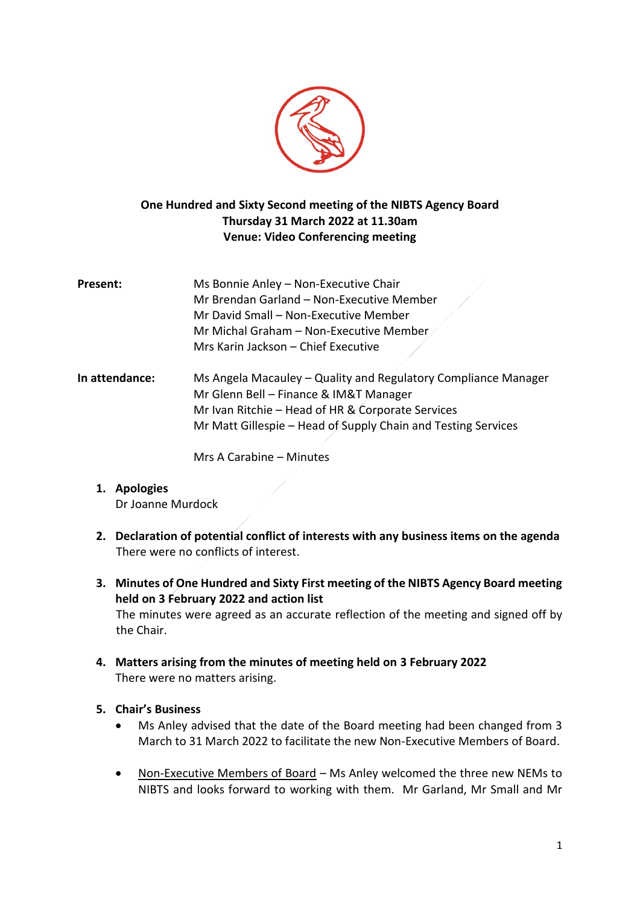

# **One Hundred and Sixty Second meeting of the NIBTS Agency Board Thursday 31 March 2022 at 11.30am Venue: Video Conferencing meeting**

- **Present:** Ms Bonnie Anley Non-Executive Chair Mr Brendan Garland – Non-Executive Member Mr David Small – Non-Executive Member Mr Michal Graham – Non-Executive Member Mrs Karin Jackson – Chief Executive
- **In attendance:** Ms Angela Macauley Quality and Regulatory Compliance Manager Mr Glenn Bell – Finance & IM&T Manager Mr Ivan Ritchie – Head of HR & Corporate Services Mr Matt Gillespie – Head of Supply Chain and Testing Services

Mrs A Carabine – Minutes

- **1. Apologies** Dr Joanne Murdock
- **2. Declaration of potential conflict of interests with any business items on the agenda** There were no conflicts of interest.
- **3. Minutes of One Hundred and Sixty First meeting of the NIBTS Agency Board meeting held on 3 February 2022 and action list** The minutes were agreed as an accurate reflection of the meeting and signed off by the Chair.
- **4. Matters arising from the minutes of meeting held on 3 February 2022** There were no matters arising.
- **5. Chair's Business**
	- Ms Anley advised that the date of the Board meeting had been changed from 3 March to 31 March 2022 to facilitate the new Non-Executive Members of Board.
	- Non-Executive Members of Board Ms Anley welcomed the three new NEMs to NIBTS and looks forward to working with them. Mr Garland, Mr Small and Mr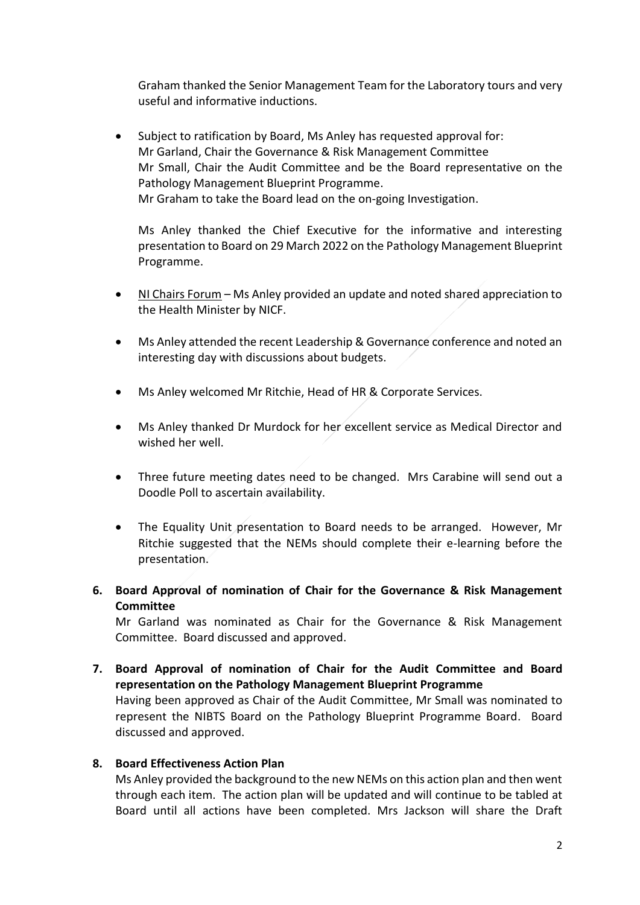Graham thanked the Senior Management Team for the Laboratory tours and very useful and informative inductions.

• Subject to ratification by Board, Ms Anley has requested approval for: Mr Garland, Chair the Governance & Risk Management Committee Mr Small, Chair the Audit Committee and be the Board representative on the Pathology Management Blueprint Programme. Mr Graham to take the Board lead on the on-going Investigation.

Ms Anley thanked the Chief Executive for the informative and interesting presentation to Board on 29 March 2022 on the Pathology Management Blueprint Programme.

- NI Chairs Forum Ms Anley provided an update and noted shared appreciation to the Health Minister by NICF.
- Ms Anley attended the recent Leadership & Governance conference and noted an interesting day with discussions about budgets.
- Ms Anley welcomed Mr Ritchie, Head of HR & Corporate Services.
- Ms Anley thanked Dr Murdock for her excellent service as Medical Director and wished her well.
- Three future meeting dates need to be changed. Mrs Carabine will send out a Doodle Poll to ascertain availability.
- The Equality Unit presentation to Board needs to be arranged. However, Mr Ritchie suggested that the NEMs should complete their e-learning before the presentation.
- **6. Board Approval of nomination of Chair for the Governance & Risk Management Committee**

Mr Garland was nominated as Chair for the Governance & Risk Management Committee. Board discussed and approved.

**7. Board Approval of nomination of Chair for the Audit Committee and Board representation on the Pathology Management Blueprint Programme**

Having been approved as Chair of the Audit Committee, Mr Small was nominated to represent the NIBTS Board on the Pathology Blueprint Programme Board. Board discussed and approved.

# **8. Board Effectiveness Action Plan**

Ms Anley provided the background to the new NEMs on this action plan and then went through each item. The action plan will be updated and will continue to be tabled at Board until all actions have been completed. Mrs Jackson will share the Draft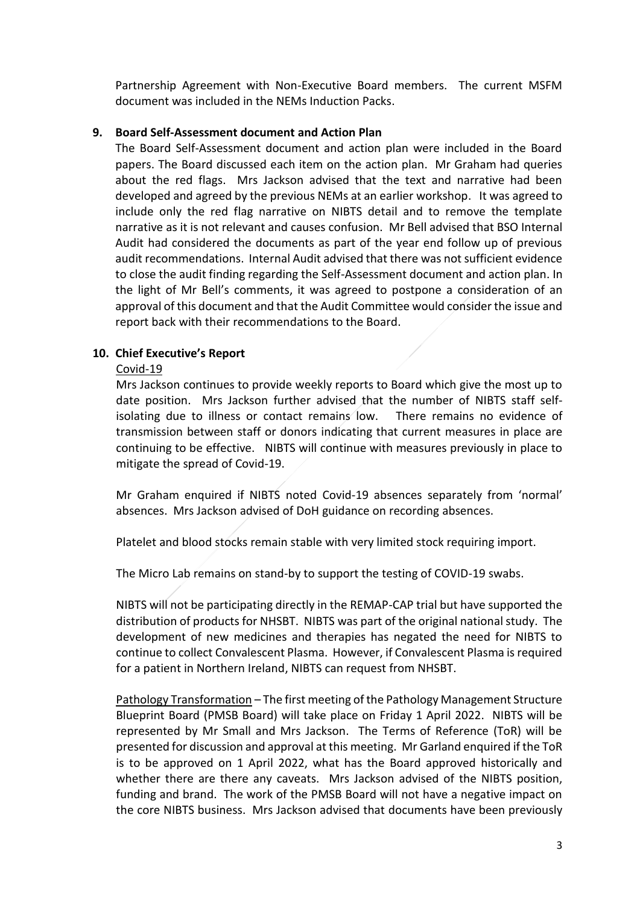Partnership Agreement with Non-Executive Board members. The current MSFM document was included in the NEMs Induction Packs.

## **9. Board Self-Assessment document and Action Plan**

The Board Self-Assessment document and action plan were included in the Board papers. The Board discussed each item on the action plan. Mr Graham had queries about the red flags. Mrs Jackson advised that the text and narrative had been developed and agreed by the previous NEMs at an earlier workshop. It was agreed to include only the red flag narrative on NIBTS detail and to remove the template narrative as it is not relevant and causes confusion. Mr Bell advised that BSO Internal Audit had considered the documents as part of the year end follow up of previous audit recommendations. Internal Audit advised that there was not sufficient evidence to close the audit finding regarding the Self-Assessment document and action plan. In the light of Mr Bell's comments, it was agreed to postpone a consideration of an approval of this document and that the Audit Committee would consider the issue and report back with their recommendations to the Board.

# **10. Chief Executive's Report**

### Covid-19

Mrs Jackson continues to provide weekly reports to Board which give the most up to date position. Mrs Jackson further advised that the number of NIBTS staff selfisolating due to illness or contact remains low. There remains no evidence of transmission between staff or donors indicating that current measures in place are continuing to be effective. NIBTS will continue with measures previously in place to mitigate the spread of Covid-19.

Mr Graham enquired if NIBTS noted Covid-19 absences separately from 'normal' absences. Mrs Jackson advised of DoH guidance on recording absences.

Platelet and blood stocks remain stable with very limited stock requiring import.

The Micro Lab remains on stand-by to support the testing of COVID-19 swabs.

NIBTS will not be participating directly in the REMAP-CAP trial but have supported the distribution of products for NHSBT. NIBTS was part of the original national study. The development of new medicines and therapies has negated the need for NIBTS to continue to collect Convalescent Plasma. However, if Convalescent Plasma is required for a patient in Northern Ireland, NIBTS can request from NHSBT.

Pathology Transformation – The first meeting of the Pathology Management Structure Blueprint Board (PMSB Board) will take place on Friday 1 April 2022. NIBTS will be represented by Mr Small and Mrs Jackson. The Terms of Reference (ToR) will be presented for discussion and approval at this meeting. Mr Garland enquired if the ToR is to be approved on 1 April 2022, what has the Board approved historically and whether there are there any caveats. Mrs Jackson advised of the NIBTS position, funding and brand. The work of the PMSB Board will not have a negative impact on the core NIBTS business. Mrs Jackson advised that documents have been previously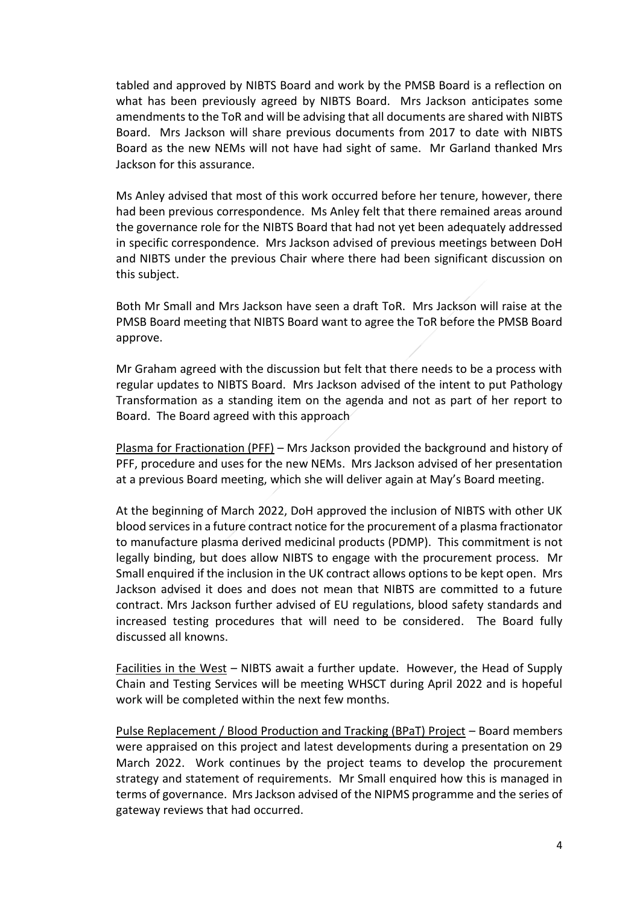tabled and approved by NIBTS Board and work by the PMSB Board is a reflection on what has been previously agreed by NIBTS Board. Mrs Jackson anticipates some amendments to the ToR and will be advising that all documents are shared with NIBTS Board. Mrs Jackson will share previous documents from 2017 to date with NIBTS Board as the new NEMs will not have had sight of same. Mr Garland thanked Mrs Jackson for this assurance.

Ms Anley advised that most of this work occurred before her tenure, however, there had been previous correspondence. Ms Anley felt that there remained areas around the governance role for the NIBTS Board that had not yet been adequately addressed in specific correspondence. Mrs Jackson advised of previous meetings between DoH and NIBTS under the previous Chair where there had been significant discussion on this subject.

Both Mr Small and Mrs Jackson have seen a draft ToR. Mrs Jackson will raise at the PMSB Board meeting that NIBTS Board want to agree the ToR before the PMSB Board approve.

Mr Graham agreed with the discussion but felt that there needs to be a process with regular updates to NIBTS Board. Mrs Jackson advised of the intent to put Pathology Transformation as a standing item on the agenda and not as part of her report to Board. The Board agreed with this approach

Plasma for Fractionation (PFF) – Mrs Jackson provided the background and history of PFF, procedure and uses for the new NEMs. Mrs Jackson advised of her presentation at a previous Board meeting, which she will deliver again at May's Board meeting.

At the beginning of March 2022, DoH approved the inclusion of NIBTS with other UK blood services in a future contract notice for the procurement of a plasma fractionator to manufacture plasma derived medicinal products (PDMP). This commitment is not legally binding, but does allow NIBTS to engage with the procurement process. Mr Small enquired if the inclusion in the UK contract allows options to be kept open. Mrs Jackson advised it does and does not mean that NIBTS are committed to a future contract. Mrs Jackson further advised of EU regulations, blood safety standards and increased testing procedures that will need to be considered. The Board fully discussed all knowns.

Facilities in the West – NIBTS await a further update. However, the Head of Supply Chain and Testing Services will be meeting WHSCT during April 2022 and is hopeful work will be completed within the next few months.

Pulse Replacement / Blood Production and Tracking (BPaT) Project – Board members were appraised on this project and latest developments during a presentation on 29 March 2022. Work continues by the project teams to develop the procurement strategy and statement of requirements. Mr Small enquired how this is managed in terms of governance. Mrs Jackson advised of the NIPMS programme and the series of gateway reviews that had occurred.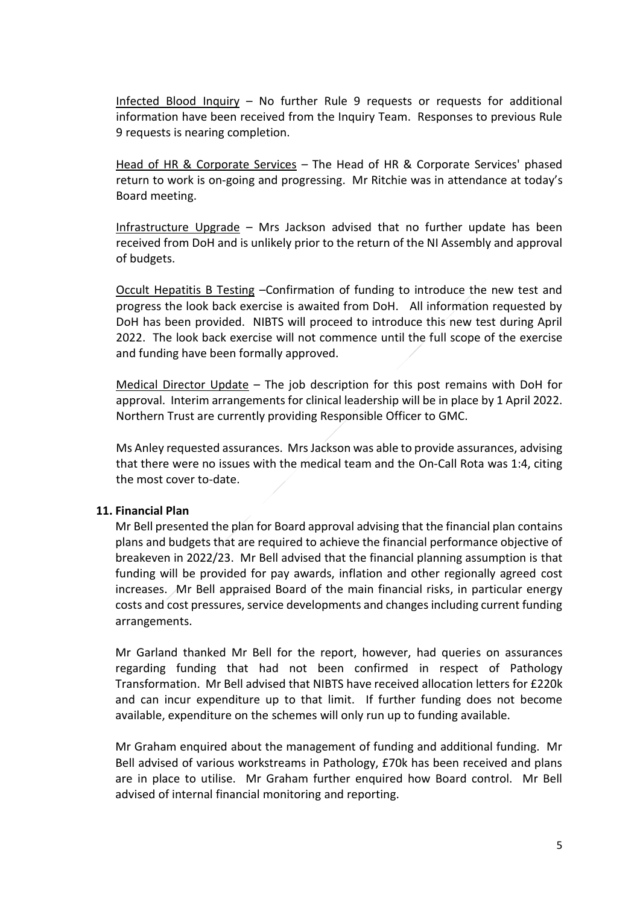Infected Blood Inquiry – No further Rule 9 requests or requests for additional information have been received from the Inquiry Team. Responses to previous Rule 9 requests is nearing completion.

Head of HR & Corporate Services – The Head of HR & Corporate Services' phased return to work is on-going and progressing. Mr Ritchie was in attendance at today's Board meeting.

Infrastructure Upgrade – Mrs Jackson advised that no further update has been received from DoH and is unlikely prior to the return of the NI Assembly and approval of budgets.

Occult Hepatitis B Testing –Confirmation of funding to introduce the new test and progress the look back exercise is awaited from DoH. All information requested by DoH has been provided. NIBTS will proceed to introduce this new test during April 2022. The look back exercise will not commence until the full scope of the exercise and funding have been formally approved.

Medical Director Update – The job description for this post remains with DoH for approval. Interim arrangements for clinical leadership will be in place by 1 April 2022. Northern Trust are currently providing Responsible Officer to GMC.

Ms Anley requested assurances. Mrs Jackson was able to provide assurances, advising that there were no issues with the medical team and the On-Call Rota was 1:4, citing the most cover to-date.

#### **11. Financial Plan**

Mr Bell presented the plan for Board approval advising that the financial plan contains plans and budgets that are required to achieve the financial performance objective of breakeven in 2022/23. Mr Bell advised that the financial planning assumption is that funding will be provided for pay awards, inflation and other regionally agreed cost increases. Mr Bell appraised Board of the main financial risks, in particular energy costs and cost pressures, service developments and changes including current funding arrangements.

Mr Garland thanked Mr Bell for the report, however, had queries on assurances regarding funding that had not been confirmed in respect of Pathology Transformation. Mr Bell advised that NIBTS have received allocation letters for £220k and can incur expenditure up to that limit. If further funding does not become available, expenditure on the schemes will only run up to funding available.

Mr Graham enquired about the management of funding and additional funding. Mr Bell advised of various workstreams in Pathology, £70k has been received and plans are in place to utilise. Mr Graham further enquired how Board control. Mr Bell advised of internal financial monitoring and reporting.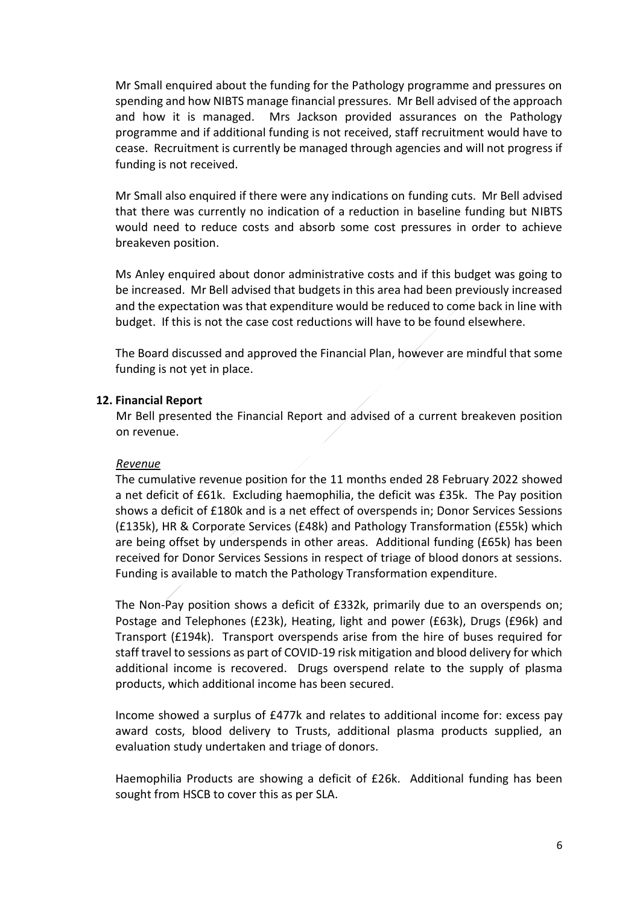Mr Small enquired about the funding for the Pathology programme and pressures on spending and how NIBTS manage financial pressures. Mr Bell advised of the approach and how it is managed. Mrs Jackson provided assurances on the Pathology programme and if additional funding is not received, staff recruitment would have to cease. Recruitment is currently be managed through agencies and will not progress if funding is not received.

Mr Small also enquired if there were any indications on funding cuts. Mr Bell advised that there was currently no indication of a reduction in baseline funding but NIBTS would need to reduce costs and absorb some cost pressures in order to achieve breakeven position.

Ms Anley enquired about donor administrative costs and if this budget was going to be increased. Mr Bell advised that budgets in this area had been previously increased and the expectation was that expenditure would be reduced to come back in line with budget. If this is not the case cost reductions will have to be found elsewhere.

The Board discussed and approved the Financial Plan, however are mindful that some funding is not yet in place.

#### **12. Financial Report**

Mr Bell presented the Financial Report and advised of a current breakeven position on revenue.

#### *Revenue*

The cumulative revenue position for the 11 months ended 28 February 2022 showed a net deficit of £61k. Excluding haemophilia, the deficit was £35k. The Pay position shows a deficit of £180k and is a net effect of overspends in; Donor Services Sessions (£135k), HR & Corporate Services (£48k) and Pathology Transformation (£55k) which are being offset by underspends in other areas. Additional funding (£65k) has been received for Donor Services Sessions in respect of triage of blood donors at sessions. Funding is available to match the Pathology Transformation expenditure.

The Non-Pay position shows a deficit of £332k, primarily due to an overspends on; Postage and Telephones (£23k), Heating, light and power (£63k), Drugs (£96k) and Transport (£194k). Transport overspends arise from the hire of buses required for staff travel to sessions as part of COVID-19 risk mitigation and blood delivery for which additional income is recovered. Drugs overspend relate to the supply of plasma products, which additional income has been secured.

Income showed a surplus of £477k and relates to additional income for: excess pay award costs, blood delivery to Trusts, additional plasma products supplied, an evaluation study undertaken and triage of donors.

Haemophilia Products are showing a deficit of £26k. Additional funding has been sought from HSCB to cover this as per SLA.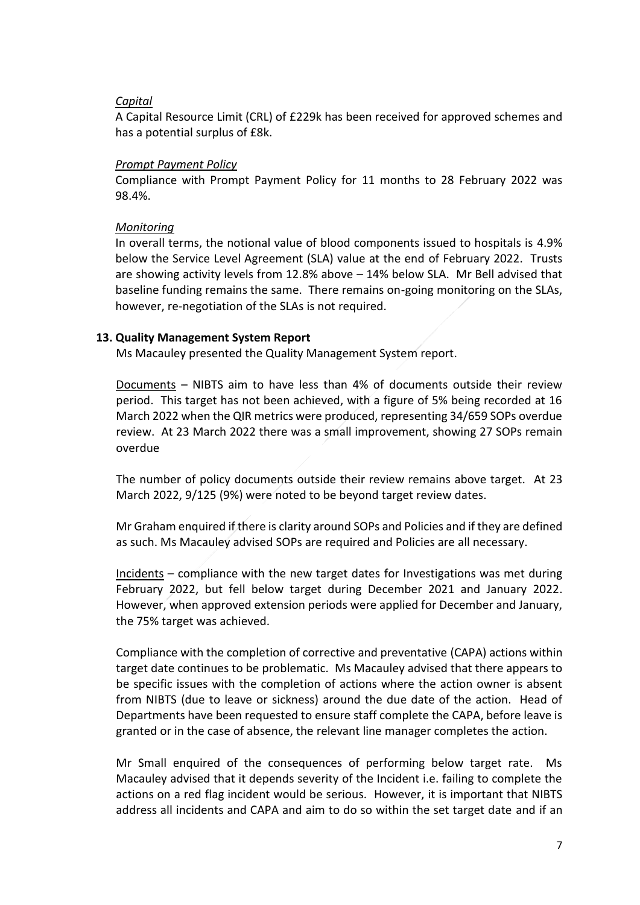#### *Capital*

A Capital Resource Limit (CRL) of £229k has been received for approved schemes and has a potential surplus of £8k.

## *Prompt Payment Policy*

Compliance with Prompt Payment Policy for 11 months to 28 February 2022 was 98.4%.

## *Monitoring*

In overall terms, the notional value of blood components issued to hospitals is 4.9% below the Service Level Agreement (SLA) value at the end of February 2022. Trusts are showing activity levels from 12.8% above – 14% below SLA. Mr Bell advised that baseline funding remains the same. There remains on-going monitoring on the SLAs, however, re-negotiation of the SLAs is not required.

### **13. Quality Management System Report**

Ms Macauley presented the Quality Management System report.

Documents – NIBTS aim to have less than 4% of documents outside their review period. This target has not been achieved, with a figure of 5% being recorded at 16 March 2022 when the QIR metrics were produced, representing 34/659 SOPs overdue review. At 23 March 2022 there was a small improvement, showing 27 SOPs remain overdue

The number of policy documents outside their review remains above target. At 23 March 2022, 9/125 (9%) were noted to be beyond target review dates.

Mr Graham enquired if there is clarity around SOPs and Policies and if they are defined as such. Ms Macauley advised SOPs are required and Policies are all necessary.

Incidents – compliance with the new target dates for Investigations was met during February 2022, but fell below target during December 2021 and January 2022. However, when approved extension periods were applied for December and January, the 75% target was achieved.

Compliance with the completion of corrective and preventative (CAPA) actions within target date continues to be problematic. Ms Macauley advised that there appears to be specific issues with the completion of actions where the action owner is absent from NIBTS (due to leave or sickness) around the due date of the action. Head of Departments have been requested to ensure staff complete the CAPA, before leave is granted or in the case of absence, the relevant line manager completes the action.

Mr Small enquired of the consequences of performing below target rate. Ms Macauley advised that it depends severity of the Incident i.e. failing to complete the actions on a red flag incident would be serious. However, it is important that NIBTS address all incidents and CAPA and aim to do so within the set target date and if an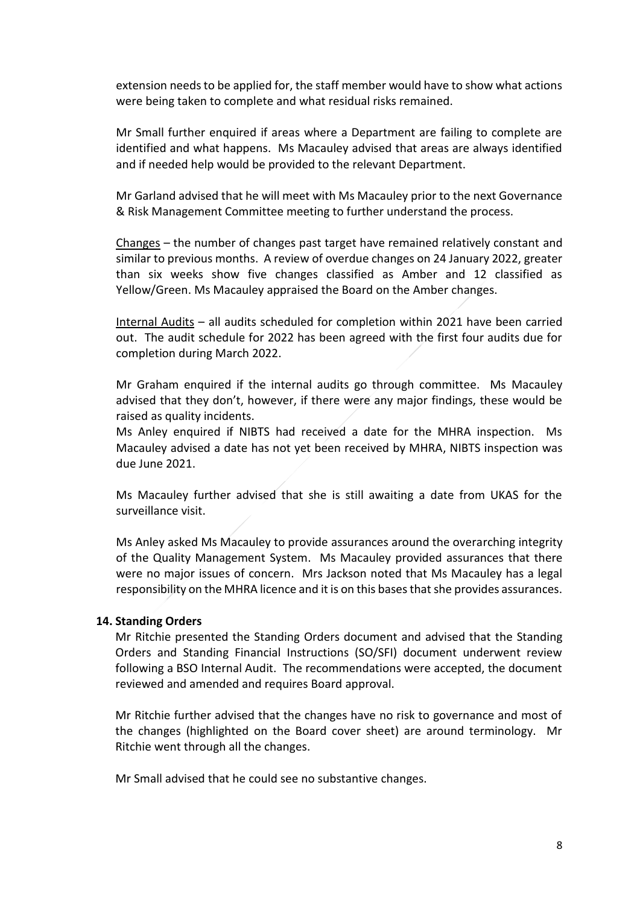extension needs to be applied for, the staff member would have to show what actions were being taken to complete and what residual risks remained.

Mr Small further enquired if areas where a Department are failing to complete are identified and what happens. Ms Macauley advised that areas are always identified and if needed help would be provided to the relevant Department.

Mr Garland advised that he will meet with Ms Macauley prior to the next Governance & Risk Management Committee meeting to further understand the process.

Changes – the number of changes past target have remained relatively constant and similar to previous months. A review of overdue changes on 24 January 2022, greater than six weeks show five changes classified as Amber and 12 classified as Yellow/Green. Ms Macauley appraised the Board on the Amber changes.

Internal Audits – all audits scheduled for completion within 2021 have been carried out. The audit schedule for 2022 has been agreed with the first four audits due for completion during March 2022.

Mr Graham enquired if the internal audits go through committee. Ms Macauley advised that they don't, however, if there were any major findings, these would be raised as quality incidents.

Ms Anley enquired if NIBTS had received a date for the MHRA inspection. Ms Macauley advised a date has not yet been received by MHRA, NIBTS inspection was due June 2021.

Ms Macauley further advised that she is still awaiting a date from UKAS for the surveillance visit.

Ms Anley asked Ms Macauley to provide assurances around the overarching integrity of the Quality Management System. Ms Macauley provided assurances that there were no major issues of concern. Mrs Jackson noted that Ms Macauley has a legal responsibility on the MHRA licence and it is on this bases that she provides assurances.

#### **14. Standing Orders**

Mr Ritchie presented the Standing Orders document and advised that the Standing Orders and Standing Financial Instructions (SO/SFI) document underwent review following a BSO Internal Audit. The recommendations were accepted, the document reviewed and amended and requires Board approval.

Mr Ritchie further advised that the changes have no risk to governance and most of the changes (highlighted on the Board cover sheet) are around terminology. Mr Ritchie went through all the changes.

Mr Small advised that he could see no substantive changes.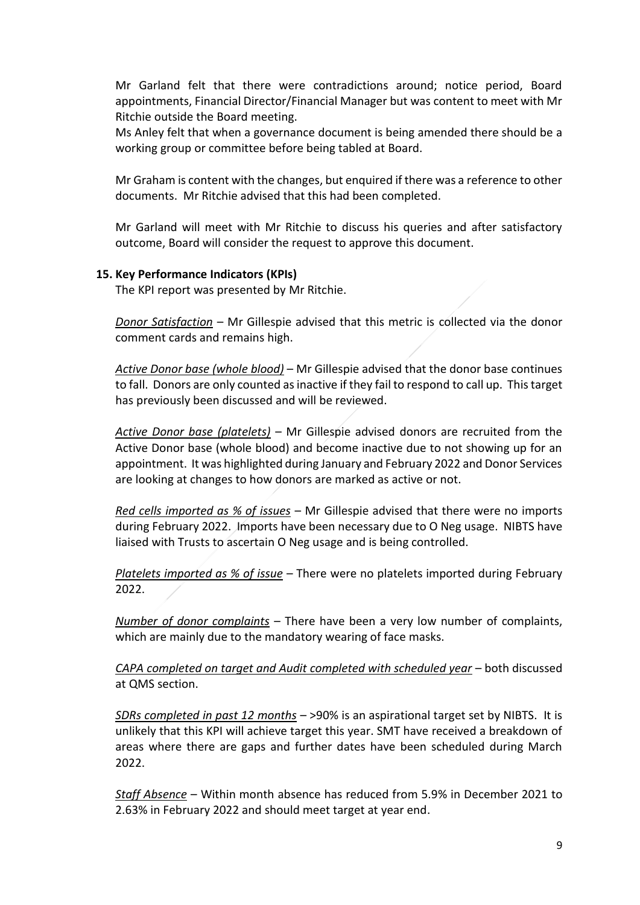Mr Garland felt that there were contradictions around; notice period, Board appointments, Financial Director/Financial Manager but was content to meet with Mr Ritchie outside the Board meeting.

Ms Anley felt that when a governance document is being amended there should be a working group or committee before being tabled at Board.

Mr Graham is content with the changes, but enquired if there was a reference to other documents. Mr Ritchie advised that this had been completed.

Mr Garland will meet with Mr Ritchie to discuss his queries and after satisfactory outcome, Board will consider the request to approve this document.

#### **15. Key Performance Indicators (KPIs)**

The KPI report was presented by Mr Ritchie.

*Donor Satisfaction* – Mr Gillespie advised that this metric is collected via the donor comment cards and remains high.

*Active Donor base (whole blood)* – Mr Gillespie advised that the donor base continues to fall. Donors are only counted as inactive if they fail to respond to call up. This target has previously been discussed and will be reviewed.

*Active Donor base (platelets)* – Mr Gillespie advised donors are recruited from the Active Donor base (whole blood) and become inactive due to not showing up for an appointment. It was highlighted during January and February 2022 and Donor Services are looking at changes to how donors are marked as active or not.

*Red cells imported as % of issues* – Mr Gillespie advised that there were no imports during February 2022. Imports have been necessary due to O Neg usage. NIBTS have liaised with Trusts to ascertain O Neg usage and is being controlled.

*Platelets imported as % of issue* – There were no platelets imported during February 2022.

*Number of donor complaints* – There have been a very low number of complaints, which are mainly due to the mandatory wearing of face masks.

*CAPA completed on target and Audit completed with scheduled year* – both discussed at QMS section.

*SDRs completed in past 12 months* – >90% is an aspirational target set by NIBTS. It is unlikely that this KPI will achieve target this year. SMT have received a breakdown of areas where there are gaps and further dates have been scheduled during March 2022.

*Staff Absence* – Within month absence has reduced from 5.9% in December 2021 to 2.63% in February 2022 and should meet target at year end.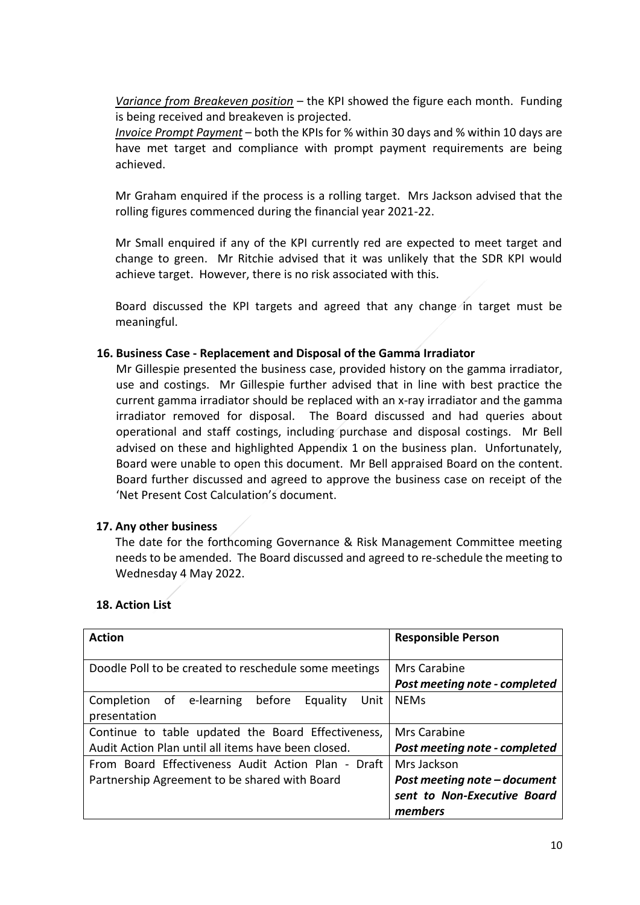*Variance from Breakeven position* – the KPI showed the figure each month. Funding is being received and breakeven is projected.

*Invoice Prompt Payment* – both the KPIs for % within 30 days and % within 10 days are have met target and compliance with prompt payment requirements are being achieved.

Mr Graham enquired if the process is a rolling target. Mrs Jackson advised that the rolling figures commenced during the financial year 2021-22.

Mr Small enquired if any of the KPI currently red are expected to meet target and change to green. Mr Ritchie advised that it was unlikely that the SDR KPI would achieve target. However, there is no risk associated with this.

Board discussed the KPI targets and agreed that any change in target must be meaningful.

### **16. Business Case - Replacement and Disposal of the Gamma Irradiator**

Mr Gillespie presented the business case, provided history on the gamma irradiator, use and costings. Mr Gillespie further advised that in line with best practice the current gamma irradiator should be replaced with an x-ray irradiator and the gamma irradiator removed for disposal. The Board discussed and had queries about operational and staff costings, including purchase and disposal costings. Mr Bell advised on these and highlighted Appendix 1 on the business plan. Unfortunately, Board were unable to open this document. Mr Bell appraised Board on the content. Board further discussed and agreed to approve the business case on receipt of the 'Net Present Cost Calculation's document.

#### **17. Any other business**

The date for the forthcoming Governance & Risk Management Committee meeting needs to be amended. The Board discussed and agreed to re-schedule the meeting to Wednesday 4 May 2022.

# **18. Action List**

| <b>Action</b>                                                          | <b>Responsible Person</b>                     |
|------------------------------------------------------------------------|-----------------------------------------------|
| Doodle Poll to be created to reschedule some meetings                  | Mrs Carabine<br>Post meeting note - completed |
| Completion of e-learning<br>before<br>Equality<br>Unit<br>presentation | <b>NEMs</b>                                   |
| Continue to table updated the Board Effectiveness,                     | Mrs Carabine                                  |
| Audit Action Plan until all items have been closed.                    | Post meeting note - completed                 |
| From Board Effectiveness Audit Action Plan - Draft                     | Mrs Jackson                                   |
| Partnership Agreement to be shared with Board                          | Post meeting note - document                  |
|                                                                        | sent to Non-Executive Board                   |
|                                                                        | members                                       |